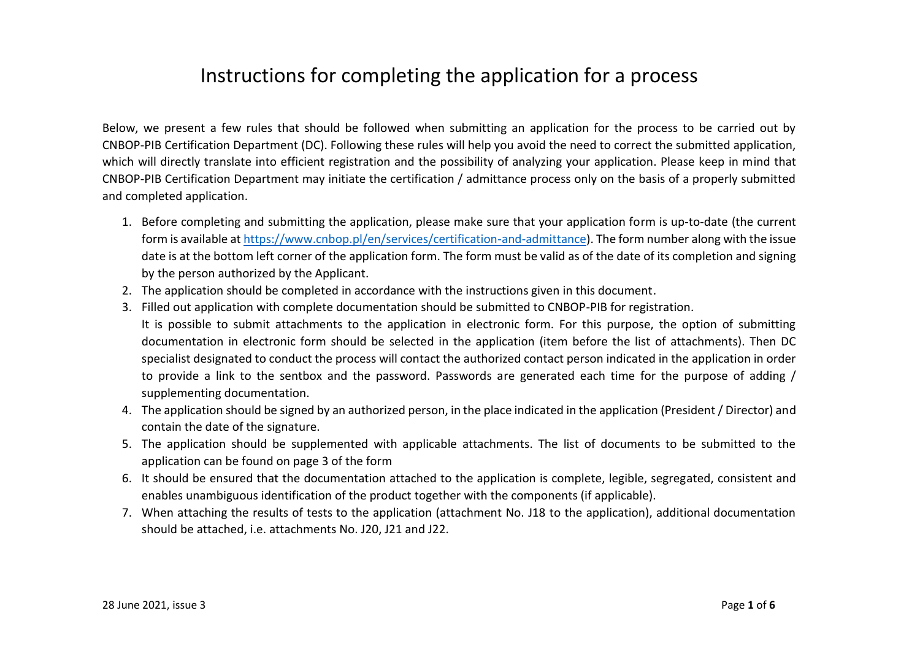## Instructions for completing the application for a process

Below, we present a few rules that should be followed when submitting an application for the process to be carried out by CNBOP-PIB Certification Department (DC). Following these rules will help you avoid the need to correct the submitted application, which will directly translate into efficient registration and the possibility of analyzing your application. Please keep in mind that CNBOP-PIB Certification Department may initiate the certification / admittance process only on the basis of a properly submitted and completed application.

- 1. Before completing and submitting the application, please make sure that your application form is up-to-date (the current form is available a[t https://www.cnbop.pl/en/services/certification-and-admittance\)](https://www.cnbop.pl/en/services/certification-and-admittance). The form number along with the issue date is at the bottom left corner of the application form. The form must be valid as of the date of its completion and signing by the person authorized by the Applicant.
- 2. The application should be completed in accordance with the instructions given in this document.
- 3. Filled out application with complete documentation should be submitted to CNBOP-PIB for registration. It is possible to submit attachments to the application in electronic form. For this purpose, the option of submitting documentation in electronic form should be selected in the application (item before the list of attachments). Then DC specialist designated to conduct the process will contact the authorized contact person indicated in the application in order to provide a link to the sentbox and the password. Passwords are generated each time for the purpose of adding / supplementing documentation.
- 4. The application should be signed by an authorized person, in the place indicated in the application (President / Director) and contain the date of the signature.
- 5. The application should be supplemented with applicable attachments. The list of documents to be submitted to the application can be found on page 3 of the form
- 6. It should be ensured that the documentation attached to the application is complete, legible, segregated, consistent and enables unambiguous identification of the product together with the components (if applicable).
- 7. When attaching the results of tests to the application (attachment No. J18 to the application), additional documentation should be attached, i.e. attachments No. J20, J21 and J22.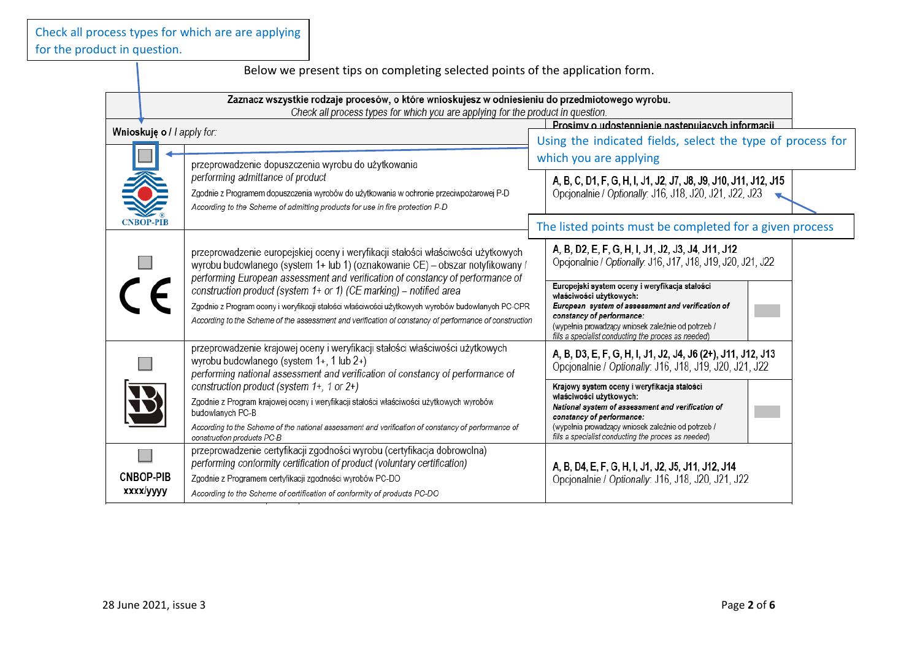Below we present tips on completing selected points of the application form. Zaznacz wszystkie rodzaje procesów, o które wnioskujesz w odniesieniu do przedmiotowego wyrobu. Check all process types for which you are applying for the product in question. Prosimy o udostepnienie nastepujących informacji Wnioskuje o / | apply for: Using the indicated fields, select the type of process for which you are applying przeprowadzenie dopuszczenia wyrobu do użytkowania performing admittance of product A, B, C, D1, F, G, H, I, J1, J2, J7, J8, J9, J10, J11, J12, J15 Opcionalnie / Optionally: J16, J18, J20, J21, J22, J23 Zgodnie z Programem dopuszczenia wyrobów do użytkowania w ochronie przeciwpożarowej P-D According to the Scheme of admitting products for use in fire protection P-D **CNBOP-PIB** The listed points must be completed for a given process A. B. D2. E. F. G. H. I. J1. J2. J3. J4. J11. J12. przeprowadzenie europejskiej oceny i weryfikacji stałości właściwości użytkowych Opcionalnie / Optionally, J16, J17, J18, J19, J20, J21, J22 wyrobu budowlanego (system 1+ lub 1) (oznakowanie CE) – obszar notyfikowany / performing European assessment and verification of constancy of performance of Europejski system oceny i weryfikacja stałości construction product (system 1+ or 1) (CE marking) – notified area właściwości użytkowych: Zgodnie z Program oceny i weryfikacji stałości właściwości użytkowych wyrobów budowlanych PC-CPR European system of assessment and verification of constancy of performance: According to the Scheme of the assessment and verification of constancy of performance of construction (wypełnia prowadzący wniosek zależnie od potrzeb / fills a specialist conducting the proces as needed) przeprowadzenie krajowej oceny i weryfikacji stałości właściwości użytkowych A, B, D3, E, F, G, H, I, J1, J2, J4, J6 (2+), J11, J12, J13 wyrobu budowlanego (system 1+, 1 lub 2+) Opcionalnie / Optionally J16 J18 J19 J20 J21 J22 performing national assessment and verification of constancy of performance of construction product (system 1+, 1 or 2+) Kraiowy system oceny i weryfikacia stałości właściwości użytkowych: Zgodnie z Program krajowej oceny i weryfikacji stałości właściwości użytkowych wyrobów National system of assessment and verification of budowlanvch PC-B constancy of performance: According to the Scheme of the national assessment and verification of constancy of performance of (wypełnia prowadzący wniosek zależnie od potrzeb / construction products PC-B fills a specialist conducting the proces as needed) przeprowadzenie certyfikacji zgodności wyrobu (certyfikacja dobrowolna) **The State** performing conformity certification of product (voluntary certification) A. B. D4, E. F. G. H. I. J1, J2, J5, J11, J12, J14 **CNBOP-PIB** Zgodnie z Programem certyfikacji zgodności wyrobów PC-DO Opcionalnie / Optionally: J16, J18, J20, J21, J22 xxxx/yyyy According to the Scheme of certification of conformity of products PC-DO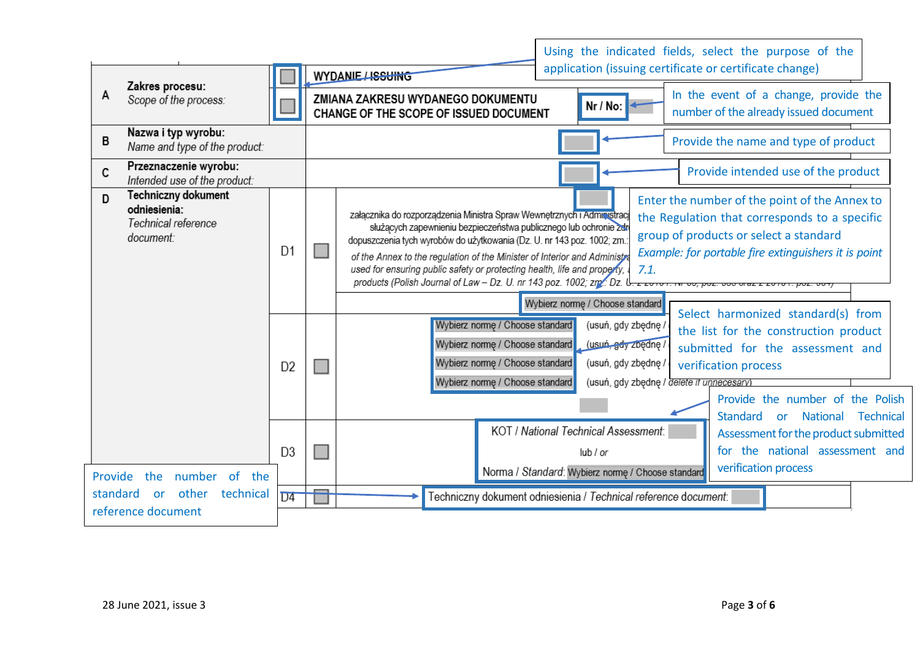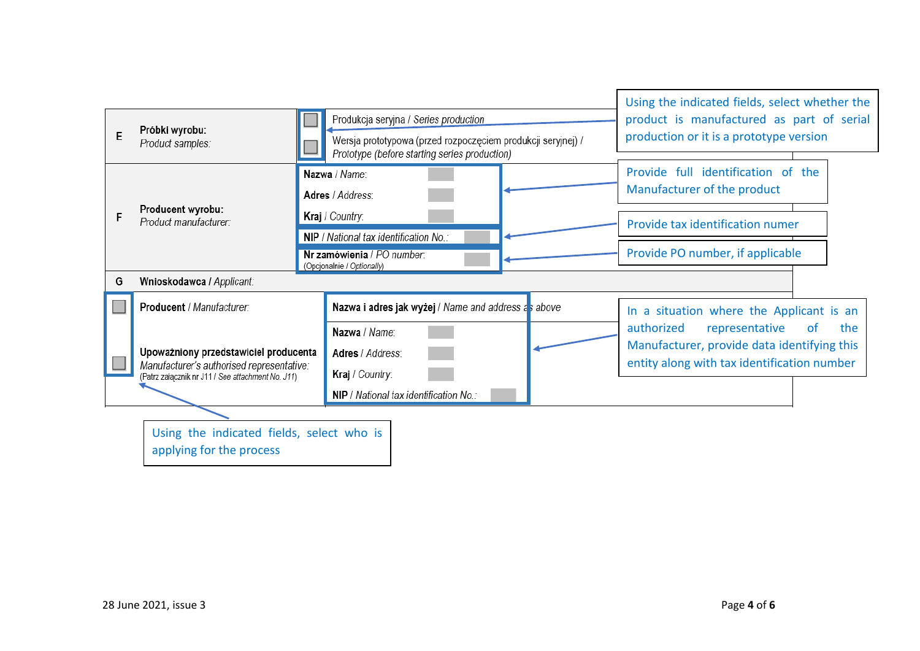| E                                                                     | Próbki wyrobu:<br>Product samples:                                                                                                      | Produkcja seryjna / Series production<br>Wersja prototypowa (przed rozpoczęciem produkcji seryjnej) /<br>Prototype (before starting series production) | Using the indicated fields, select whether the<br>product is manufactured as part of serial<br>production or it is a prototype version |  |  |  |  |
|-----------------------------------------------------------------------|-----------------------------------------------------------------------------------------------------------------------------------------|--------------------------------------------------------------------------------------------------------------------------------------------------------|----------------------------------------------------------------------------------------------------------------------------------------|--|--|--|--|
|                                                                       | Producent wyrobu:<br>Product manufacturer:                                                                                              | Nazwa / Name:<br>Adres / Address:                                                                                                                      | Provide full identification of the<br>Manufacturer of the product                                                                      |  |  |  |  |
|                                                                       |                                                                                                                                         | Kraj / Country:<br>NIP / National tax identification No.:                                                                                              | Provide tax identification numer                                                                                                       |  |  |  |  |
|                                                                       |                                                                                                                                         | Nr zamówienia / PO number.<br>(Opcjonalnie / Optionally)                                                                                               | Provide PO number, if applicable                                                                                                       |  |  |  |  |
| G                                                                     | Wnioskodawca / Applicant:                                                                                                               |                                                                                                                                                        |                                                                                                                                        |  |  |  |  |
|                                                                       | Producent / Manufacturer:                                                                                                               | Nazwa i adres jak wyżej / Name and address as above                                                                                                    | In a situation where the Applicant is an<br>authorized<br>representative<br><b>of</b><br>the                                           |  |  |  |  |
|                                                                       |                                                                                                                                         | Nazwa / Name:                                                                                                                                          |                                                                                                                                        |  |  |  |  |
|                                                                       | Upoważniony przedstawiciel producenta<br>Manufacturer's authorised representative:<br>(Patrz załącznik nr J11 / See attachment No. J11) | Adres / Address:                                                                                                                                       | Manufacturer, provide data identifying this                                                                                            |  |  |  |  |
|                                                                       |                                                                                                                                         | Kraj / Country:                                                                                                                                        | entity along with tax identification number                                                                                            |  |  |  |  |
|                                                                       |                                                                                                                                         | NIP / National tax identification No.:                                                                                                                 |                                                                                                                                        |  |  |  |  |
|                                                                       |                                                                                                                                         |                                                                                                                                                        |                                                                                                                                        |  |  |  |  |
| Using the indicated fields, select who is<br>applying for the process |                                                                                                                                         |                                                                                                                                                        |                                                                                                                                        |  |  |  |  |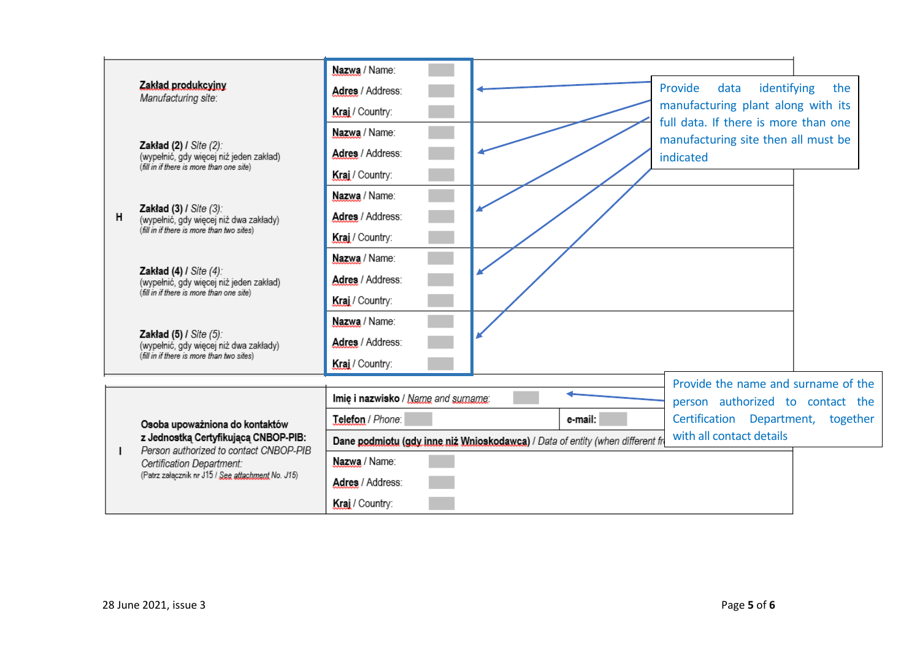|   |                                                                                                                                                                                                    | Nazwa / Name:                                                                                             |                                                                                                              |                                     |          |
|---|----------------------------------------------------------------------------------------------------------------------------------------------------------------------------------------------------|-----------------------------------------------------------------------------------------------------------|--------------------------------------------------------------------------------------------------------------|-------------------------------------|----------|
| н | Zakład produkcyjny<br>Manufacturing site:                                                                                                                                                          | Adres / Address:                                                                                          | identifying<br>Provide<br>data<br>manufacturing plant along with its<br>full data. If there is more than one |                                     | the      |
|   |                                                                                                                                                                                                    | Kraj / Country:                                                                                           |                                                                                                              |                                     |          |
|   | Zakład (2) / Site (2):<br>(wypełnić, gdy więcej niż jeden zakład)<br>(fill in if there is more than one site)                                                                                      | Nazwa / Name:                                                                                             |                                                                                                              | manufacturing site then all must be |          |
|   |                                                                                                                                                                                                    | Adres / Address:                                                                                          | indicated                                                                                                    |                                     |          |
|   |                                                                                                                                                                                                    | Kraj / Country:                                                                                           |                                                                                                              |                                     |          |
|   | Zakład (3) / Site (3):<br>(wypełnić, gdy więcej niż dwa zakłady)<br>(fill in if there is more than two sites)                                                                                      | Nazwa / Name:                                                                                             |                                                                                                              |                                     |          |
|   |                                                                                                                                                                                                    | Adres / Address:                                                                                          |                                                                                                              |                                     |          |
|   |                                                                                                                                                                                                    | Kraj / Country:                                                                                           |                                                                                                              |                                     |          |
|   | Zakład $(4)$ / Site $(4)$ :<br>(wypełnić, gdy więcej niż jeden zakład)<br>(fill in if there is more than one site)                                                                                 | Nazwa / Name:                                                                                             |                                                                                                              |                                     |          |
|   |                                                                                                                                                                                                    | Adres / Address:                                                                                          |                                                                                                              |                                     |          |
|   |                                                                                                                                                                                                    | Kraj / Country:                                                                                           |                                                                                                              |                                     |          |
|   | Zakład $(5)$ / Site $(5)$ :<br>(wypełnić, gdy więcej niż dwa zakłady)<br>(fill in if there is more than two sites)                                                                                 | Nazwa / Name:                                                                                             |                                                                                                              |                                     |          |
|   |                                                                                                                                                                                                    | Adres / Address:                                                                                          |                                                                                                              |                                     |          |
|   |                                                                                                                                                                                                    | Kraj / Country:                                                                                           |                                                                                                              |                                     |          |
|   |                                                                                                                                                                                                    |                                                                                                           |                                                                                                              | Provide the name and surname of the |          |
|   |                                                                                                                                                                                                    | Imie i nazwisko / Name and surname:                                                                       |                                                                                                              | person authorized to contact the    |          |
|   | Osoba upoważniona do kontaktów<br>z Jednostką Certyfikującą CNBOP-PIB:<br>Person authorized to contact CNBOP-PIB<br>Certification Department:<br>(Patrz załącznik nr J15 / See attachment No. J15) | Telefon / Phone:                                                                                          | e-mail:                                                                                                      | Certification Department,           | together |
|   |                                                                                                                                                                                                    | with all contact details<br>Dane podmiotu (gdy inne niż Wnioskodawca) / Data of entity (when different fr |                                                                                                              |                                     |          |
|   |                                                                                                                                                                                                    | Nazwa / Name:                                                                                             |                                                                                                              |                                     |          |
|   |                                                                                                                                                                                                    | Adres / Address:                                                                                          |                                                                                                              |                                     |          |
|   |                                                                                                                                                                                                    | Kraj / Country:                                                                                           |                                                                                                              |                                     |          |